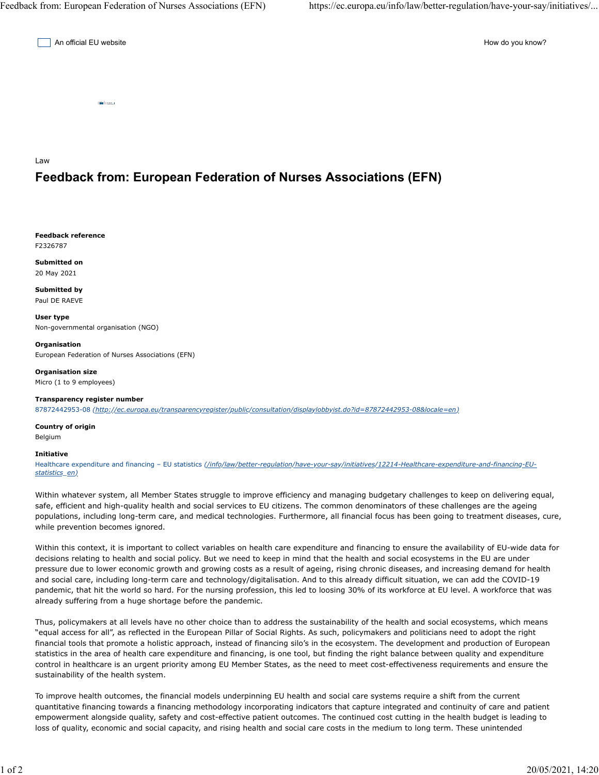An official EU website **How do you know?** An official EU website How do you know?

Law

## **Feedback from: European Federation of Nurses Associations (EFN)**

**Feedback reference** F2326787

**Submitted on** 20 May 2021

**Submitted by** Paul DE RAEVE

**User type** Non-governmental organisation (NGO)

**Organisation** European Federation of Nurses Associations (EFN)

**Organisation size** Micro (1 to 9 employees)

**Transparency register number** 87872442953-08 *(http://ec.europa.eu/transparencyregister/public/consultation/displaylobbyist.do?id=87872442953-08&locale=en)*

**Country of origin** Belgium

**Initiative**

Healthcare expenditure and financing – EU statistics *(/info/law/better-regulation/have-your-say/initiatives/12214-Healthcare-expenditure-and-financing-EUstatistics\_en)*

Within whatever system, all Member States struggle to improve efficiency and managing budgetary challenges to keep on delivering equal, safe, efficient and high-quality health and social services to EU citizens. The common denominators of these challenges are the ageing populations, including long-term care, and medical technologies. Furthermore, all financial focus has been going to treatment diseases, cure, while prevention becomes ignored.

Within this context, it is important to collect variables on health care expenditure and financing to ensure the availability of EU-wide data for decisions relating to health and social policy. But we need to keep in mind that the health and social ecosystems in the EU are under pressure due to lower economic growth and growing costs as a result of ageing, rising chronic diseases, and increasing demand for health and social care, including long-term care and technology/digitalisation. And to this already difficult situation, we can add the COVID-19 pandemic, that hit the world so hard. For the nursing profession, this led to loosing 30% of its workforce at EU level. A workforce that was already suffering from a huge shortage before the pandemic.

Thus, policymakers at all levels have no other choice than to address the sustainability of the health and social ecosystems, which means "equal access for all", as reflected in the European Pillar of Social Rights. As such, policymakers and politicians need to adopt the right financial tools that promote a holistic approach, instead of financing silo's in the ecosystem. The development and production of European statistics in the area of health care expenditure and financing, is one tool, but finding the right balance between quality and expenditure control in healthcare is an urgent priority among EU Member States, as the need to meet cost-effectiveness requirements and ensure the sustainability of the health system.

To improve health outcomes, the financial models underpinning EU health and social care systems require a shift from the current quantitative financing towards a financing methodology incorporating indicators that capture integrated and continuity of care and patient empowerment alongside quality, safety and cost-effective patient outcomes. The continued cost cutting in the health budget is leading to loss of quality, economic and social capacity, and rising health and social care costs in the medium to long term. These unintended